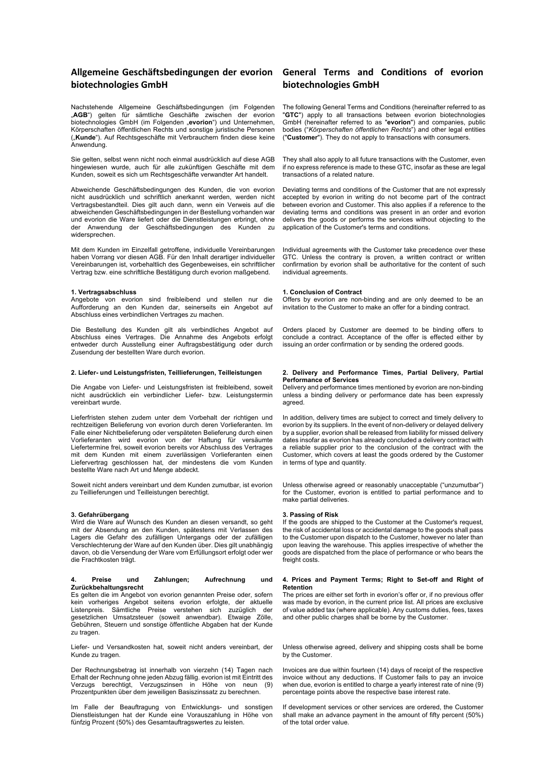# **Allgemeine Geschäftsbedingungen der evorion General Terms and Conditions of evorion biotechnologies GmbH**

Nachstehende Allgemeine Geschäftsbedingungen (im Folgenden "AGB") gelten für sämtliche Geschäfte zwischen der evorion biotechnologies GmbH (im Folgenden "evorion") und Unternehmen, Körperschaften öffentlichen Rechts und sonstige juristische Personen ("**Kunde**"). Auf Rechtsgeschäfte mit Verbrauchern finden diese keine Anwendung.

Sie gelten, selbst wenn nicht noch einmal ausdrücklich auf diese AGB hingewiesen wurde, auch für alle zukünftigen Geschäfte mit dem Kunden, soweit es sich um Rechtsgeschäfte verwandter Art handelt.

Abweichende Geschäftsbedingungen des Kunden, die von evorion nicht ausdrücklich und schriftlich anerkannt werden, werden nicht Vertragsbestandteil. Dies gilt auch dann, wenn ein Verweis auf die abweichenden Geschäftsbedingungen in der Bestellung vorhanden war und evorion die Ware liefert oder die Dienstleistungen erbringt, ohne der Anwendung der Geschäftsbedingungen des Kunden zu widersprechen.

Mit dem Kunden im Einzelfall getroffene, individuelle Vereinbarungen haben Vorrang vor diesen AGB. Für den Inhalt derartiger individueller Vereinbarungen ist, vorbehaltlich des Gegenbeweises, ein schriftlicher Vertrag bzw. eine schriftliche Bestätigung durch evorion maßgebend.

#### **1. Vertragsabschluss**

Angebote von evorion sind freibleibend und stellen nur die Aufforderung an den Kunden dar, seinerseits ein Angebot auf Abschluss eines verbindlichen Vertrages zu machen.

Die Bestellung des Kunden gilt als verbindliches Angebot auf Abschluss eines Vertrages. Die Annahme des Angebots erfolgt entweder durch Ausstellung einer Auftragsbestätigung oder durch Zusendung der bestellten Ware durch evorion.

#### **2. Liefer- und Leistungsfristen, Teillieferungen, Teilleistungen**

Die Angabe von Liefer- und Leistungsfristen ist freibleibend, soweit nicht ausdrücklich ein verbindlicher Liefer- bzw. Leistungstermin vereinbart wurde.

Lieferfristen stehen zudem unter dem Vorbehalt der richtigen und rechtzeitigen Belieferung von evorion durch deren Vorlieferanten. Im Falle einer Nichtbelieferung oder verspäteten Belieferung durch einen Vorlieferanten wird evorion von der Haftung für versäumte Liefertermine frei, soweit evorion bereits vor Abschluss des Vertrages mit dem Kunden mit einem zuverlässigen Vorlieferanten einen Liefervertrag geschlossen hat, der mindestens die vom Kunden bestellte Ware nach Art und Menge abdeckt.

Soweit nicht anders vereinbart und dem Kunden zumutbar, ist evorion zu Teillieferungen und Teilleistungen berechtigt.

# **3. Gefahrübergang**

Wird die Ware auf Wunsch des Kunden an diesen versandt, so geht mit der Absendung an den Kunden, spätestens mit Verlassen des Lagers die Gefahr des zufälligen Untergangs oder der zufälligen Verschlechterung der Ware auf den Kunden über. Dies gilt unabhängig davon, ob die Versendung der Ware vom Erfüllungsort erfolgt oder wer die Frachtkosten trägt.

#### **4. Preise und Zahlungen; Aufrechnung und Zurückbehaltungsrecht**

Es gelten die im Angebot von evorion genannten Preise oder, sofern kein vorheriges Angebot seitens evorion erfolgte, der aktuelle Listenpreis. Sämtliche Preise verstehen sich zuzüglich der gesetzlichen Umsatzsteuer (soweit anwendbar). Etwaige Zölle, Gebühren, Steuern und sonstige öffentliche Abgaben hat der Kunde zu tragen.

Liefer- und Versandkosten hat, soweit nicht anders vereinbart, der Kunde zu tragen.

Der Rechnungsbetrag ist innerhalb von vierzehn (14) Tagen nach Erhalt der Rechnung ohne jeden Abzug fällig. evorion ist mit Eintritt des Verzugs berechtigt, Verzugszinsen in Höhe von neun (9) Prozentpunkten über dem jeweiligen Basiszinssatz zu berechnen.

Im Falle der Beauftragung von Entwicklungs- und sonstigen Dienstleistungen hat der Kunde eine Vorauszahlung in Höhe von fünfzig Prozent (50%) des Gesamtauftragswertes zu leisten.

# **biotechnologies GmbH**

The following General Terms and Conditions (hereinafter referred to as "GTC") apply to all transactions between evorion biotechnologies GmbH (hereinafter referred to as "**evorion**") and companies, public bodies ("*Körperschaften öffentlichen Rechts*") and other legal entities ("**Customer**"). They do not apply to transactions with consumers.

They shall also apply to all future transactions with the Customer, even if no express reference is made to these GTC, insofar as these are legal transactions of a related nature.

Deviating terms and conditions of the Customer that are not expressly accepted by evorion in writing do not become part of the contract between evorion and Customer. This also applies if a reference to the deviating terms and conditions was present in an order and evorion delivers the goods or performs the services without objecting to the application of the Customer's terms and conditions.

Individual agreements with the Customer take precedence over these GTC. Unless the contrary is proven, a written contract or written confirmation by evorion shall be authoritative for the content of such individual agreements.

#### **1. Conclusion of Contract**

Offers by evorion are non-binding and are only deemed to be an invitation to the Customer to make an offer for a binding contract.

Orders placed by Customer are deemed to be binding offers to conclude a contract. Acceptance of the offer is effected either by issuing an order confirmation or by sending the ordered goods.

#### **2. Delivery and Performance Times, Partial Delivery, Partial Performance of Services**

Delivery and performance times mentioned by evorion are non-binding unless a binding delivery or performance date has been expressly agreed.

In addition, delivery times are subject to correct and timely delivery to evorion by its suppliers. In the event of non-delivery or delayed delivery by a supplier, evorion shall be released from liability for missed delivery dates insofar as evorion has already concluded a delivery contract with a reliable supplier prior to the conclusion of the contract with the Customer, which covers at least the goods ordered by the Customer in terms of type and quantity.

Unless otherwise agreed or reasonably unacceptable ("unzumutbar") for the Customer, evorion is entitled to partial performance and to make partial deliveries.

#### **3. Passing of Risk**

If the goods are shipped to the Customer at the Customer's request, the risk of accidental loss or accidental damage to the goods shall pass to the Customer upon dispatch to the Customer, however no later than upon leaving the warehouse. This applies irrespective of whether the goods are dispatched from the place of performance or who bears the freight costs.

#### **4. Prices and Payment Terms; Right to Set-off and Right of Retention**

The prices are either set forth in evorion's offer or, if no previous offer was made by evorion, in the current price list. All prices are exclusive of value added tax (where applicable). Any customs duties, fees, taxes and other public charges shall be borne by the Customer.

Unless otherwise agreed, delivery and shipping costs shall be borne by the Customer.

Invoices are due within fourteen (14) days of receipt of the respective invoice without any deductions. If Customer fails to pay an invoice when due, evorion is entitled to charge a yearly interest rate of nine (9) percentage points above the respective base interest rate.

If development services or other services are ordered, the Customer shall make an advance payment in the amount of fifty percent (50%) of the total order value.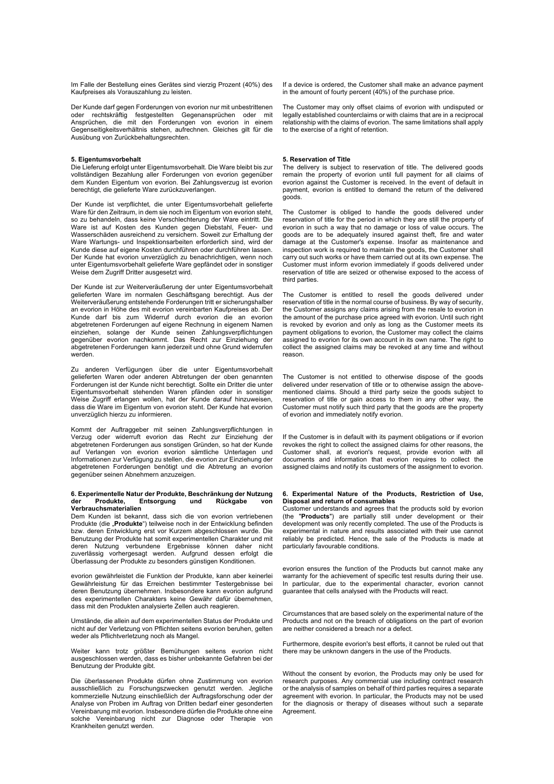Im Falle der Bestellung eines Gerätes sind vierzig Prozent (40%) des Kaufpreises als Vorauszahlung zu leisten.

Der Kunde darf gegen Forderungen von evorion nur mit unbestrittenen oder rechtskräftig festgestellten Gegenansprüchen oder mit Ansprüchen, die mit den Forderungen von evorion in einem Gegenseitigkeitsverhältnis stehen, aufrechnen. Gleiches gilt für die Ausübung von Zurückbehaltungsrechten.

#### **5. Eigentumsvorbehalt**

Die Lieferung erfolgt unter Eigentumsvorbehalt. Die Ware bleibt bis zur vollständigen Bezahlung aller Forderungen von evorion gegenüber dem Kunden Eigentum von evorion. Bei Zahlungsverzug ist evorion berechtigt, die gelieferte Ware zurückzuverlangen.

Der Kunde ist verpflichtet, die unter Eigentumsvorbehalt gelieferte Ware für den Zeitraum, in dem sie noch im Eigentum von evorion steht, so zu behandeln, dass keine Verschlechterung der Ware eintritt. Die Ware ist auf Kosten des Kunden gegen Diebstahl, Feuer- und Wasserschäden ausreichend zu versichern. Soweit zur Erhaltung der Ware Wartungs- und Inspektionsarbeiten erforderlich sind, wird der Kunde diese auf eigene Kosten durchführen oder durchführen lassen. Der Kunde hat evorion unverzüglich zu benachrichtigen, wenn noch unter Eigentumsvorbehalt gelieferte Ware gepfändet oder in sonstiger Weise dem Zugriff Dritter ausgesetzt wird.

Der Kunde ist zur Weiterveräußerung der unter Eigentumsvorbehalt gelieferten Ware im normalen Geschäftsgang berechtigt. Aus der Weiterveräußerung entstehende Forderungen tritt er sicherungshalber an evorion in Höhe des mit evorion vereinbarten Kaufpreises ab. Der Kunde darf bis zum Widerruf durch evorion die an evorion abgetretenen Forderungen auf eigene Rechnung in eigenem Namen einziehen, solange der Kunde seinen Zahlungsverpflichtungen gegenüber evorion nachkommt. Das Recht zur Einziehung der abgetretenen Forderungen kann jederzeit und ohne Grund widerrufen werden.

Zu anderen Verfügungen über die unter Eigentumsvorbehalt gelieferten Waren oder anderen Abtretungen der oben genannten Forderungen ist der Kunde nicht berechtigt. Sollte ein Dritter die unter Eigentumsvorbehalt stehenden Waren pfänden oder in sonstiger Weise Zugriff erlangen wollen, hat der Kunde darauf hinzuweisen, dass die Ware im Eigentum von evorion steht. Der Kunde hat evorion unverzüglich hierzu zu informieren.

Kommt der Auftraggeber mit seinen Zahlungsverpflichtungen in Verzug oder widerruft evorion das Recht zur Einziehung der abgetretenen Forderungen aus sonstigen Gründen, so hat der Kunde auf Verlangen von evorion evorion sämtliche Unterlagen und Informationen zur Verfügung zu stellen, die evorion zur Einziehung der abgetretenen Forderungen benötigt und die Abtretung an evorion gegenüber seinen Abnehmern anzuzeigen.

#### **6. Experimentelle Natur der Produkte, Beschränkung der Nutzung Entsorgung Verbrauchsmaterialien**

Dem Kunden ist bekannt, dass sich die von evorion vertriebenen Produkte (die "Produkte") teilweise noch in der Entwicklung befinden bzw. deren Entwicklung erst vor Kurzem abgeschlossen wurde. Die Benutzung der Produkte hat somit experimentellen Charakter und mit deren Nutzung verbundene Ergebnisse können daher nicht zuverlässig vorhergesagt werden. Aufgrund dessen erfolgt die Überlassung der Produkte zu besonders günstigen Konditionen.

evorion gewährleistet die Funktion der Produkte, kann aber keinerlei Gewährleistung für das Erreichen bestimmter Testergebnisse bei deren Benutzung übernehmen. Insbesondere kann evorion aufgrund des experimentellen Charakters keine Gewähr dafür übernehmen, dass mit den Produkten analysierte Zellen auch reagieren.

Umstände, die allein auf dem experimentellen Status der Produkte und nicht auf der Verletzung von Pflichten seitens evorion beruhen, gelten weder als Pflichtverletzung noch als Mangel.

Weiter kann trotz größter Bemühungen seitens evorion nicht ausgeschlossen werden, dass es bisher unbekannte Gefahren bei der Benutzung der Produkte gibt.

Die überlassenen Produkte dürfen ohne Zustimmung von evorion ausschließlich zu Forschungszwecken genutzt werden. Jegliche kommerzielle Nutzung einschließlich der Auftragsforschung oder der Analyse von Proben im Auftrag von Dritten bedarf einer gesonderten Vereinbarung mit evorion. Insbesondere dürfen die Produkte ohne eine solche Vereinbarung nicht zur Diagnose oder Therapie von Krankheiten genutzt werden.

If a device is ordered, the Customer shall make an advance payment in the amount of fourty percent (40%) of the purchase price.

The Customer may only offset claims of evorion with undisputed or legally established counterclaims or with claims that are in a reciprocal relationship with the claims of evorion. The same limitations shall apply to the exercise of a right of retention.

## **5. Reservation of Title**

The delivery is subject to reservation of title. The delivered goods remain the property of evorion until full payment for all claims of evorion against the Customer is received. In the event of default in payment, evorion is entitled to demand the return of the delivered goods.

The Customer is obliged to handle the goods delivered under reservation of title for the period in which they are still the property of evorion in such a way that no damage or loss of value occurs. The goods are to be adequately insured against theft, fire and water damage at the Customer's expense. Insofar as maintenance and inspection work is required to maintain the goods, the Customer shall carry out such works or have them carried out at its own expense. The Customer must inform evorion immediately if goods delivered under reservation of title are seized or otherwise exposed to the access of third parties.

The Customer is entitled to resell the goods delivered under reservation of title in the normal course of business. By way of security, the Customer assigns any claims arising from the resale to evorion in the amount of the purchase price agreed with evorion. Until such right is revoked by evorion and only as long as the Customer meets its payment obligations to evorion, the Customer may collect the claims assigned to evorion for its own account in its own name. The right to collect the assigned claims may be revoked at any time and without reason.

The Customer is not entitled to otherwise dispose of the goods delivered under reservation of title or to otherwise assign the abovementioned claims. Should a third party seize the goods subject to reservation of title or gain access to them in any other way, the Customer must notify such third party that the goods are the property of evorion and immediately notify evorion.

If the Customer is in default with its payment obligations or if evorion revokes the right to collect the assigned claims for other reasons, the Customer shall, at evorion's request, provide evorion with all documents and information that evorion requires to collect the assigned claims and notify its customers of the assignment to evorion.

#### **6. Experimental Nature of the Products, Restriction of Use, Disposal and return of consumables**

Customer understands and agrees that the products sold by evorion (the "**Products**") are partially still under development or their development was only recently completed. The use of the Products is experimental in nature and results associated with their use cannot reliably be predicted. Hence, the sale of the Products is made at particularly favourable conditions.

evorion ensures the function of the Products but cannot make any warranty for the achievement of specific test results during their use. In particular, due to the experimental character, evorion cannot guarantee that cells analysed with the Products will react.

Circumstances that are based solely on the experimental nature of the Products and not on the breach of obligations on the part of evorion are neither considered a breach nor a defect.

Furthermore, despite evorion's best efforts, it cannot be ruled out that there may be unknown dangers in the use of the Products.

Without the consent by evorion, the Products may only be used for research purposes. Any commercial use including contract research or the analysis of samples on behalf of third parties requires a separate agreement with evorion. In particular, the Products may not be used for the diagnosis or therapy of diseases without such a separate Agreement.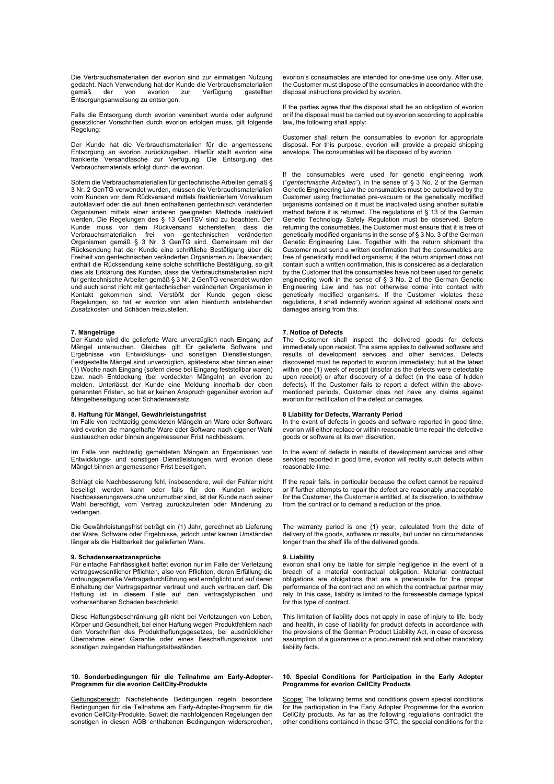Die Verbrauchsmaterialien der evorion sind zur einmaligen Nutzung gedacht. Nach Verwendung hat der Kunde die Verbrauchsmaterialien<br>gemäß der von evorion zur Verfügung gestellten der von evorion zur Entsorgungsanweisung zu entsorgen.

Falls die Entsorgung durch evorion vereinbart wurde oder aufgrund gesetzlicher Vorschriften durch evorion erfolgen muss, gilt folgende Regelung:

Der Kunde hat die Verbrauchsmaterialien für die angemessene Entsorgung an evorion zurückzugeben. Hierfür stellt evorion eine frankierte Versandtasche zur Verfügung. Die Entsorgung des Verbrauchsmaterials erfolgt durch die evorion.

Sofern die Verbrauchsmaterialien für gentechnische Arbeiten gemäß § 3 Nr. 2 GenTG verwendet wurden, müssen die Verbrauchsmaterialien vom Kunden vor dem Rückversand mittels fraktioniertem Vorvakuum autoklaviert oder die auf ihnen enthaltenen gentechnisch veränderten Organismen mittels einer anderen geeigneten Methode inaktiviert werden. Die Regelungen des § 13 GenTSV sind zu beachten. Der Kunde muss vor dem Rückversand sicherstellen, dass die Verbrauchsmaterialien frei von gentechnischen veränderten Organismen gemäß § 3 Nr. 3 GenTG sind. Gemeinsam mit der Rücksendung hat der Kunde eine schriftliche Bestätigung über die Freiheit von gentechnischen veränderten Organismen zu übersenden; enthält die Rücksendung keine solche schriftliche Bestätigung, so gilt dies als Erklärung des Kunden, dass die Verbrauchsmaterialien nicht für gentechnische Arbeiten gemäß § 3 Nr. 2 GenTG verwendet wurden und auch sonst nicht mit gentechnischen veränderten Organismen in Kontakt gekommen sind. Verstößt der Kunde gegen diese Regelungen, so hat er evorion von allen hierdurch entstehenden Zusatzkosten und Schäden freizustellen.

## **7. Mängelrüge**

Der Kunde wird die gelieferte Ware unverzüglich nach Eingang auf Mängel untersuchen. Gleiches gilt für gelieferte Software und Ergebnisse von Entwicklungs- und sonstigen Dienstleistungen. Festgestellte Mängel sind unverzüglich, spätestens aber binnen einer (1) Woche nach Eingang (sofern diese bei Eingang feststellbar waren) bzw. nach Entdeckung (bei verdeckten Mängeln) an evorion zu melden. Unterlässt der Kunde eine Meldung innerhalb der oben genannten Fristen, so hat er keinen Anspruch gegenüber evorion auf Mängelbeseitigung oder Schadensersatz.

#### **8. Haftung für Mängel, Gewährleistungsfrist**

Im Falle von rechtzeitig gemeldeten Mängeln an Ware oder Software wird evorion die mangelhafte Ware oder Software nach eigener Wahl austauschen oder binnen angemessener Frist nachbessern.

Im Falle von rechtzeitig gemeldeten Mängeln an Ergebnissen von Entwicklungs- und sonstigen Dienstleistungen wird evorion diese Mängel binnen angemessener Frist beseitigen.

Schlägt die Nachbesserung fehl, insbesondere, weil der Fehler nicht beseitigt werden kann oder falls für den Kunden weitere Nachbesserungsversuche unzumutbar sind, ist der Kunde nach seiner Wahl berechtigt, vom Vertrag zurückzutreten oder Minderung zu verlangen.

Die Gewährleistungsfrist beträgt ein (1) Jahr, gerechnet ab Lieferung der Ware, Software oder Ergebnisse, jedoch unter keinen Umständen länger als die Haltbarkeit der gelieferten Ware.

# **9. Schadensersatzansprüche**

Für einfache Fahrlässigkeit haftet evorion nur im Falle der Verletzung vertragswesentlicher Pflichten, also von Pflichten, deren Erfüllung die ordnungsgemäße Vertragsdurchführung erst ermöglicht und auf deren Einhaltung der Vertragspartner vertraut und auch vertrauen darf. Die Haftung ist in diesem Falle auf den vertragstypischen und vorhersehbaren Schaden beschränkt.

Diese Haftungsbeschränkung gilt nicht bei Verletzungen von Leben, Körper und Gesundheit, bei einer Haftung wegen Produktfehlern nach den Vorschriften des Produkthaftungsgesetzes, bei ausdrücklicher Übernahme einer Garantie oder eines Beschaffungsrisikos und sonstigen zwingenden Haftungstatbeständen.

#### **10. Sonderbedingungen für die Teilnahme am Early-Adopter-Programm für die evorion CellCity-Produkte**

Geltungsbereich: Nachstehende Bedingungen regeln besondere Bedingungen für die Teilnahme am Early-Adopter-Programm für die evorion CellCity-Produkte. Soweit die nachfolgenden Regelungen den sonstigen in diesen AGB enthaltenen Bedingungen widersprechen, evorion's consumables are intended for one-time use only. After use, the Customer must dispose of the consumables in accordance with the disposal instructions provided by evorion.

If the parties agree that the disposal shall be an obligation of evorion or if the disposal must be carried out by evorion according to applicable law, the following shall apply:

Customer shall return the consumables to evorion for appropriate disposal. For this purpose, evorion will provide a prepaid shipping envelope. The consumables will be disposed of by evorion.

If the consumables were used for genetic engineering work ("*gentechnische Arbeiten*"), in the sense of § 3 No. 2 of the German Genetic Engineering Law the consumables must be autoclaved by the Customer using fractionated pre-vacuum or the genetically modified organisms contained on it must be inactivated using another suitable method before it is returned. The regulations of § 13 of the German Genetic Technology Safety Regulation must be observed. Before returning the consumables, the Customer must ensure that it is free of genetically modified organisms in the sense of § 3 No. 3 of the German Genetic Engineering Law. Together with the return shipment the Customer must send a written confirmation that the consumables are free of genetically modified organisms; if the return shipment does not contain such a written confirmation, this is considered as a declaration by the Customer that the consumables have not been used for genetic engineering work in the sense of § 3 No. 2 of the German Genetic Engineering Law and has not otherwise come into contact with genetically modified organisms. If the Customer violates these regulations, it shall indemnify evorion against all additional costs and damages arising from this.

## **7. Notice of Defects**

The Customer shall inspect the delivered goods for defects immediately upon receipt. The same applies to delivered software and results of development services and other services. Defects discovered must be reported to evorion immediately, but at the latest within one (1) week of receipt (insofar as the defects were detectable upon receipt) or after discovery of a defect (in the case of hidden defects). If the Customer fails to report a defect within the abovementioned periods, Customer does not have any claims against evorion for rectification of the defect or damages.

#### **8 Liability for Defects, Warranty Period**

In the event of defects in goods and software reported in good time, evorion will either replace or within reasonable time repair the defective goods or software at its own discretion.

In the event of defects in results of development services and other services reported in good time, evorion will rectify such defects within reasonable time.

If the repair fails, in particular because the defect cannot be repaired or if further attempts to repair the defect are reasonably unacceptable for the Customer, the Customer is entitled, at its discretion, to withdraw from the contract or to demand a reduction of the price.

The warranty period is one (1) year, calculated from the date of delivery of the goods, software or results, but under no circumstances longer than the shelf life of the delivered goods.

# **9. Liability**

evorion shall only be liable for simple negligence in the event of a breach of a material contractual obligation. Material contractual obligations are obligations that are a prerequisite for the proper performance of the contract and on which the contractual partner may rely. In this case, liability is limited to the foreseeable damage typical for this type of contract.

This limitation of liability does not apply in case of injury to life, body and health, in case of liability for product defects in accordance with the provisions of the German Product Liability Act, in case of express assumption of a guarantee or a procurement risk and other mandatory liability facts.

#### **10. Special Conditions for Participation in the Early Adopter Programme for evorion CellCity Products**

Scope: The following terms and conditions govern special conditions for the participation in the Early Adopter Programme for the evorion CellCity products. As far as the following regulations contradict the other conditions contained in these GTC, the special conditions for the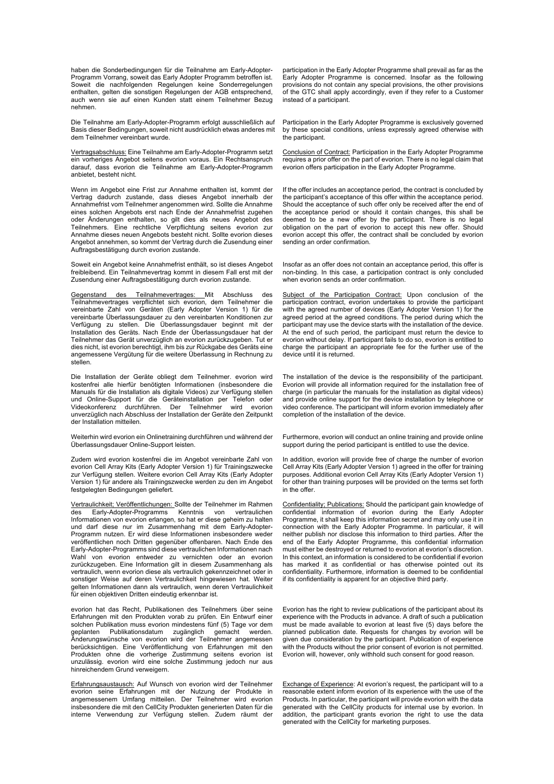haben die Sonderbedingungen für die Teilnahme am Early-Adopter-Programm Vorrang, soweit das Early Adopter Programm betroffen ist. Soweit die nachfolgenden Regelungen keine Sonderregelungen enthalten, gelten die sonstigen Regelungen der AGB entsprechend, auch wenn sie auf einen Kunden statt einem Teilnehmer Bezug nehmen.

Die Teilnahme am Early-Adopter-Programm erfolgt ausschließlich auf Basis dieser Bedingungen, soweit nicht ausdrücklich etwas anderes mit dem Teilnehmer vereinbart wurde.

Vertragsabschluss: Eine Teilnahme am Early-Adopter-Programm setzt ein vorheriges Angebot seitens evorion voraus. Ein Rechtsanspruch darauf, dass evorion die Teilnahme am Early-Adopter-Programm anbietet, besteht nicht.

Wenn im Angebot eine Frist zur Annahme enthalten ist, kommt der Vertrag dadurch zustande, dass dieses Angebot innerhalb der Annahmefrist vom Teilnehmer angenommen wird. Sollte die Annahme eines solchen Angebots erst nach Ende der Annahmefrist zugehen oder Änderungen enthalten, so gilt dies als neues Angebot des Teilnehmers. Eine rechtliche Verpflichtung seitens evorion zur Annahme dieses neuen Angebots besteht nicht. Sollte evorion dieses Angebot annehmen, so kommt der Vertrag durch die Zusendung einer Auftragsbestätigung durch evorion zustande.

Soweit ein Angebot keine Annahmefrist enthält, so ist dieses Angebot freibleibend. Ein Teilnahmevertrag kommt in diesem Fall erst mit der Zusendung einer Auftragsbestätigung durch evorion zustande.

Gegenstand des Teilnahmevertrages: Mit Abschluss des Teilnahmevertrages verpflichtet sich evorion, dem Teilnehmer die vereinbarte Zahl von Geräten (Early Adopter Version 1) für die vereinbarte Überlassungsdauer zu den vereinbarten Konditionen zur Verfügung zu stellen. Die Überlassungsdauer beginnt mit der Installation des Geräts. Nach Ende der Überlassungsdauer hat der Teilnehmer das Gerät unverzüglich an evorion zurückzugeben. Tut er dies nicht, ist evorion berechtigt, ihm bis zur Rückgabe des Geräts eine angemessene Vergütung für die weitere Überlassung in Rechnung zu stellen.

Die Installation der Geräte obliegt dem Teilnehmer. evorion wird kostenfrei alle hierfür benötigten Informationen (insbesondere die Manuals für die Installation als digitale Videos) zur Verfügung stellen und Online-Support für die Geräteinstallation per Telefon oder Videokonferenz durchführen. Der Teilnehmer wird evorion unverzüglich nach Abschluss der Installation der Geräte den Zeitpunkt der Installation mitteilen.

Weiterhin wird evorion ein Onlinetraining durchführen und während der Überlassungsdauer Online-Support leisten.

Zudem wird evorion kostenfrei die im Angebot vereinbarte Zahl von evorion Cell Array Kits (Early Adopter Version 1) für Trainingszwecke zur Verfügung stellen. Weitere evorion Cell Array Kits (Early Adopter Version 1) für andere als Trainingszwecke werden zu den im Angebot festgelegten Bedingungen geliefert.

Vertraulichkeit; Veröffentlichungen: Sollte der Teilnehmer im Rahmen des Early-Adopter-Programms Kenntnis von vertraulichen Informationen von evorion erlangen, so hat er diese geheim zu halten und darf diese nur im Zusammenhang mit dem Early-Adopter-Programm nutzen. Er wird diese Informationen insbesondere weder veröffentlichen noch Dritten gegenüber offenbaren. Nach Ende des Early-Adopter-Programms sind diese vertraulichen Informationen nach Wahl von evorion entweder zu vernichten oder an evorion zurückzugeben. Eine Information gilt in diesem Zusammenhang als vertraulich, wenn evorion diese als vertraulich gekennzeichnet oder in sonstiger Weise auf deren Vertraulichkeit hingewiesen hat. Weiter gelten Informationen dann als vertraulich, wenn deren Vertraulichkeit für einen objektiven Dritten eindeutig erkennbar ist.

evorion hat das Recht, Publikationen des Teilnehmers über seine Erfahrungen mit den Produkten vorab zu prüfen. Ein Entwurf einer solchen Publikation muss evorion mindestens fünf (5) Tage vor dem geplanten Publikationsdatum zugänglich gemacht werden. Publikationsdatum zugänglich gemacht werden. Änderungswünsche von evorion wird der Teilnehmer angemessen berücksichtigen. Eine Veröffentlichung von Erfahrungen mit den Produkten ohne die vorherige Zustimmung seitens evorion ist unzulässig. evorion wird eine solche Zustimmung jedoch nur aus hinreichendem Grund verweigern.

Erfahrungsaustausch: Auf Wunsch von evorion wird der Teilnehmer evorion seine Erfahrungen mit der Nutzung der Produkte in angemessenem Umfang mitteilen. Der Teilnehmer wird evorion insbesondere die mit den CellCity Produkten generierten Daten für die interne Verwendung zur Verfügung stellen. Zudem räumt der

participation in the Early Adopter Programme shall prevail as far as the Early Adopter Programme is concerned. Insofar as the following provisions do not contain any special provisions, the other provisions of the GTC shall apply accordingly, even if they refer to a Customer instead of a participant.

Participation in the Early Adopter Programme is exclusively governed by these special conditions, unless expressly agreed otherwise with the participant.

Conclusion of Contract: Participation in the Early Adopter Programme requires a prior offer on the part of evorion. There is no legal claim that evorion offers participation in the Early Adopter Programme.

If the offer includes an acceptance period, the contract is concluded by the participant's acceptance of this offer within the acceptance period. Should the acceptance of such offer only be received after the end of the acceptance period or should it contain changes, this shall be deemed to be a new offer by the participant. There is no legal obligation on the part of evorion to accept this new offer. Should evorion accept this offer, the contract shall be concluded by evorion sending an order confirmation.

Insofar as an offer does not contain an acceptance period, this offer is non-binding. In this case, a participation contract is only concluded when evorion sends an order confirmation.

Subject of the Participation Contract: Upon conclusion of the participation contract, evorion undertakes to provide the participant with the agreed number of devices (Early Adopter Version 1) for the agreed period at the agreed conditions. The period during which the participant may use the device starts with the installation of the device. At the end of such period, the participant must return the device to evorion without delay. If participant fails to do so, evorion is entitled to charge the participant an appropriate fee for the further use of the device until it is returned.

The installation of the device is the responsibility of the participant. Evorion will provide all information required for the installation free of charge (in particular the manuals for the installation as digital videos) and provide online support for the device installation by telephone or video conference. The participant will inform evorion immediately after completion of the installation of the device.

Furthermore, evorion will conduct an online training and provide online support during the period participant is entitled to use the device.

In addition, evorion will provide free of charge the number of evorion Cell Array Kits (Early Adopter Version 1) agreed in the offer for training purposes. Additional evorion Cell Array Kits (Early Adopter Version 1) for other than training purposes will be provided on the terms set forth in the offer.

Confidentiality; Publications: Should the participant gain knowledge of confidential information of evorion during the Early Adopter Programme, it shall keep this information secret and may only use it in connection with the Early Adopter Programme. In particular, it will neither publish nor disclose this information to third parties. After the end of the Early Adopter Programme, this confidential information must either be destroyed or returned to evorion at evorion's discretion. In this context, an information is considered to be confidential if evorion has marked it as confidential or has otherwise pointed out its confidentiality. Furthermore, information is deemed to be confidential if its confidentiality is apparent for an objective third party.

Evorion has the right to review publications of the participant about its experience with the Products in advance. A draft of such a publication must be made available to evorion at least five (5) days before the planned publication date. Requests for changes by evorion will be given due consideration by the participant. Publication of experience with the Products without the prior consent of evorion is not permitted. Evorion will, however, only withhold such consent for good reason.

Exchange of Experience: At evorion's request, the participant will to a reasonable extent inform evorion of its experience with the use of the Products. In particular, the participant will provide evorion with the data generated with the CellCity products for internal use by evorion. In addition, the participant grants evorion the right to use the data generated with the CellCity for marketing purposes.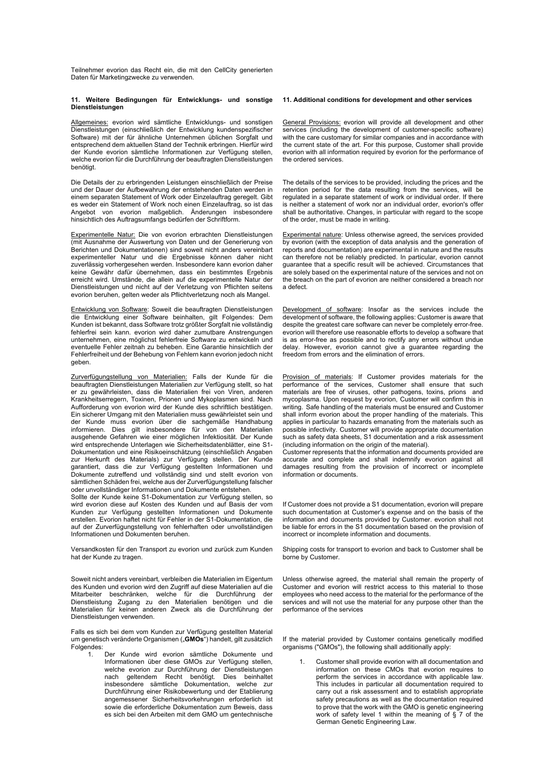Teilnehmer evorion das Recht ein, die mit den CellCity generierten Daten für Marketingzwecke zu verwenden.

## **11. Weitere Bedingungen für Entwicklungs- und sonstige Dienstleistungen**

Allgemeines: evorion wird sämtliche Entwicklungs- und sonstigen Dienstleistungen (einschließlich der Entwicklung kundenspezifischer Software) mit der für ähnliche Unternehmen üblichen Sorgfalt und entsprechend dem aktuellen Stand der Technik erbringen. Hierfür wird der Kunde evorion sämtliche Informationen zur Verfügung stellen, welche evorion für die Durchführung der beauftragten Dienstleistungen benötigt.

Die Details der zu erbringenden Leistungen einschließlich der Preise und der Dauer der Aufbewahrung der entstehenden Daten werden in einem separaten Statement of Work oder Einzelauftrag geregelt. Gibt es weder ein Statement of Work noch einen Einzelauftrag, so ist das Angebot von evorion maßgeblich. Änderungen insbesondere hinsichtlich des Auftragsumfangs bedürfen der Schriftform.

Experimentelle Natur: Die von evorion erbrachten Dienstleistungen (mit Ausnahme der Auswertung von Daten und der Generierung von Berichten und Dokumentationen) sind soweit nicht anders vereinbart experimenteller Natur und die Ergebnisse können daher nicht zuverlässig vorhergesehen werden. Insbesondere kann evorion daher keine Gewähr dafür übernehmen, dass ein bestimmtes Ergebnis erreicht wird. Umstände, die allein auf die experimentelle Natur der Dienstleistungen und nicht auf der Verletzung von Pflichten seitens evorion beruhen, gelten weder als Pflichtverletzung noch als Mangel.

Entwicklung von Software: Soweit die beauftragten Dienstleistungen die Entwicklung einer Software beinhalten, gilt Folgendes: Dem Kunden ist bekannt, dass Software trotz größter Sorgfalt nie vollständig fehlerfrei sein kann. evorion wird daher zumutbare Anstrengungen unternehmen, eine möglichst fehlerfreie Software zu entwickeln und eventuelle Fehler zeitnah zu beheben. Eine Garantie hinsichtlich der Fehlerfreiheit und der Behebung von Fehlern kann evorion jedoch nicht geben.

<u>Zurverfügungstellung von Materialien:</u> Falls der Kunde für die<br>beauftragten Dienstleistungen Materialien zur Verfügung stellt, so hat er zu gewährleisten, dass die Materialien frei von Viren, anderen Krankheitserregern, Toxinen, Prionen und Mykoplasmen sind. Nach Aufforderung von evorion wird der Kunde dies schriftlich bestätigen. Ein sicherer Umgang mit den Materialien muss gewährleistet sein und der Kunde muss evorion über die sachgemäße Handhabung informieren. Dies gilt insbesondere für von den Materialien ausgehende Gefahren wie einer möglichen Infektiosität. Der Kunde wird entsprechende Unterlagen wie Sicherheitsdatenblätter, eine S1- Dokumentation und eine Risikoeinschätzung (einschließlich Angaben zur Herkunft des Materials) zur Verfügung stellen. Der Kunde garantiert, dass die zur Verfügung gestellten Informationen und Dokumente zutreffend und vollständig sind und stellt evorion von sämtlichen Schäden frei, welche aus der Zurverfügungstellung falscher oder unvollständiger Informationen und Dokumente entstehen. Sollte der Kunde keine S1-Dokumentation zur Verfügung stellen, so

wird evorion diese auf Kosten des Kunden und auf Basis der vom Kunden zur Verfügung gestellten Informationen und Dokumente erstellen. Evorion haftet nicht für Fehler in der S1-Dokumentation, die auf der Zurverfügungstellung von fehlerhaften oder unvollständigen Informationen und Dokumenten beruhen.

Versandkosten für den Transport zu evorion und zurück zum Kunden hat der Kunde zu tragen.

Soweit nicht anders vereinbart, verbleiben die Materialien im Eigentum des Kunden und evorion wird den Zugriff auf diese Materialien auf die Mitarbeiter beschränken, welche für die Durchführung der Dienstleistung Zugang zu den Materialien benötigen und die Materialien für keinen anderen Zweck als die Durchführung der Dienstleistungen verwenden.

Falls es sich bei dem vom Kunden zur Verfügung gestellten Material um genetisch veränderte Organismen ("**GMOs**") handelt, gilt zusätzlich Folgendes:

1. Der Kunde wird evorion sämtliche Dokumente und Informationen über diese GMOs zur Verfügung stellen, welche evorion zur Durchführung der Dienstleistungen nach geltendem Recht benötigt. Dies beinhaltet insbesondere sämtliche Dokumentation, welche zur Durchführung einer Risikobewertung und der Etablierung angemessener Sicherheitsvorkehrungen erforderlich ist sowie die erforderliche Dokumentation zum Beweis, dass es sich bei den Arbeiten mit dem GMO um gentechnische

# **11. Additional conditions for development and other services**

General Provisions: evorion will provide all development and other services (including the development of customer-specific software) with the care customary for similar companies and in accordance with the current state of the art. For this purpose, Customer shall provide evorion with all information required by evorion for the performance of the ordered services.

The details of the services to be provided, including the prices and the retention period for the data resulting from the services, will be regulated in a separate statement of work or individual order. If there is neither a statement of work nor an individual order, evorion's offer shall be authoritative. Changes, in particular with regard to the scope of the order, must be made in writing.

Experimental nature: Unless otherwise agreed, the services provided by evorion (with the exception of data analysis and the generation of reports and documentation) are experimental in nature and the results can therefore not be reliably predicted. In particular, evorion cannot guarantee that a specific result will be achieved. Circumstances that are solely based on the experimental nature of the services and not on the breach on the part of evorion are neither considered a breach nor a defect.

Development of software: Insofar as the services include the development of software, the following applies: Customer is aware that despite the greatest care software can never be completely error-free. evorion will therefore use reasonable efforts to develop a software that is as error-free as possible and to rectify any errors without undue delay. However, evorion cannot give a guarantee regarding the freedom from errors and the elimination of errors.

Provision of materials: If Customer provides materials for the<br>performance of the services, Customer shall ensure that such materials are free of viruses, other pathogens, toxins, prions and mycoplasma. Upon request by evorion, Customer will confirm this in writing. Safe handling of the materials must be ensured and Customer shall inform evorion about the proper handling of the materials. This applies in particular to hazards emanating from the materials such as possible infectivity. Customer will provide appropriate documentation such as safety data sheets, S1 documentation and a risk assessment (including information on the origin of the material).

Customer represents that the information and documents provided are accurate and complete and shall indemnify evorion against all damages resulting from the provision of incorrect or incomplete information or documents.

If Customer does not provide a S1 documentation, evorion will prepare such documentation at Customer's expense and on the basis of the information and documents provided by Customer. evorion shall not be liable for errors in the S1 documentation based on the provision of incorrect or incomplete information and documents.

Shipping costs for transport to evorion and back to Customer shall be borne by Customer.

Unless otherwise agreed, the material shall remain the property of Customer and evorion will restrict access to this material to those employees who need access to the material for the performance of the services and will not use the material for any purpose other than the performance of the services

If the material provided by Customer contains genetically modified organisms ("GMOs"), the following shall additionally apply:

1. Customer shall provide evorion with all documentation and information on these CMOs that evorion requires to perform the services in accordance with applicable law. This includes in particular all documentation required to carry out a risk assessment and to establish appropriate safety precautions as well as the documentation required to prove that the work with the GMO is genetic engineering work of safety level 1 within the meaning of § 7 of the German Genetic Engineering Law.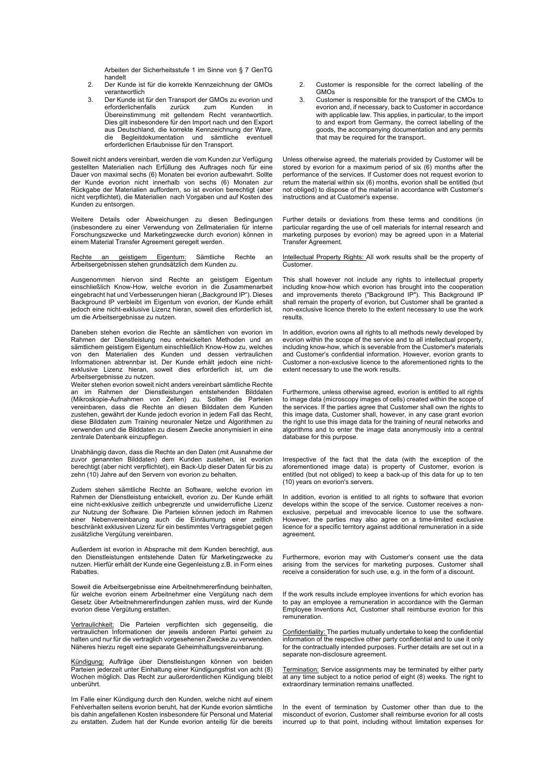Arbeiten der Sicherheitsstufe 1 im Sinne von § 7 GenTG handelt

- 2. Der Kunde ist für die korrekte Kennzeichnung der GMOs verantwortlich
- 3. Der Kunde ist für den Transport der GMOs zu evorion und erforderlichenfalls zurück zum Kunden in Übereinstimmung mit geltendem Recht verantwortlich. Dies gilt insbesondere für den Import nach und den Export aus Deutschland, die korrekte Kennzeichnung der Ware, die Begleitdokumentation und sämtliche eventuell erforderlichen Erlaubnisse für den Transport.

Soweit nicht anders vereinbart, werden die vom Kunden zur Verfügung gestellten Materialien nach Erfüllung des Auftrages noch für eine Dauer von maximal sechs (6) Monaten bei evorion aufbewahrt. Sollte der Kunde evorion nicht innerhalb von sechs (6) Monaten zur Rückgabe der Materialien auffordern, so ist evorion berechtigt (aber nicht verpflichtet), die Materialien nach Vorgaben und auf Kosten des Kunden zu entsorgen.

Weitere Details oder Abweichungen zu diesen Bedingungen (insbesondere zu einer Verwendung von Zellmaterialien für interne Forschungszwecke und Marketingzwecke durch evorion) können in einem Material Transfer Agreement geregelt werden.

Rechte an geistigem Eigentum: Sämtliche Rechte an Arbeitsergebnissen stehen grundsätzlich dem Kunden zu.

Ausgenommen hiervon sind Rechte an geistigem Eigentum einschließlich Know-How, welche evorion in die Zusammenarbeit eingebracht hat und Verbesserungen hieran ("Background IP"). Dieses Background IP verbleibt im Eigentum von evorion, der Kunde erhält jedoch eine nicht-exklusive Lizenz hieran, soweit dies erforderlich ist, um die Arbeitsergebnisse zu nutzen.

Daneben stehen evorion die Rechte an sämtlichen von evorion im Rahmen der Dienstleistung neu entwickelten Methoden und an sämtlichem geistigem Eigentum einschließlich Know-How zu, welches von den Materialien des Kunden und dessen vertraulichen Informationen abtrennbar ist. Der Kunde erhält jedoch eine nichtexklusive Lizenz hieran, soweit dies erforderlich ist, um die Arbeitsergebnisse zu nutzen.

Weiter stehen evorion soweit nicht anders vereinbart sämtliche Rechte an im Rahmen der Dienstleistungen entstehenden Bilddaten (Mikroskopie-Aufnahmen von Zellen) zu. Sollten die Parteien vereinbaren, dass die Rechte an diesen Bilddaten dem Kunden zustehen, gewährt der Kunde jedoch evorion in jedem Fall das Recht, diese Bilddaten zum Training neuronaler Netze und Algorithmen zu verwenden und die Bilddaten zu diesem Zwecke anonymisiert in eine zentrale Datenbank einzupflegen.

Unabhängig davon, dass die Rechte an den Daten (mit Ausnahme der zuvor genannten Bilddaten) dem Kunden zustehen, ist evorion berechtigt (aber nicht verpflichtet), ein Back-Up dieser Daten für bis zu zehn (10) Jahre auf den Servern von evorion zu behalten.

Zudem stehen sämtliche Rechte an Software, welche evorion im Rahmen der Dienstleistung entwickelt, evorion zu. Der Kunde erhält eine nicht-exklusive zeitlich unbegrenzte und unwiderrufliche Lizenz zur Nutzung der Software. Die Parteien können jedoch im Rahmen einer Nebenvereinbarung auch die Einräumung einer zeitlich beschränkt exklusiven Lizenz für ein bestimmtes Vertragsgebiet gegen zusätzliche Vergütung vereinbaren.

Außerdem ist evorion in Absprache mit dem Kunden berechtigt, aus den Dienstleistungen entstehende Daten für Marketingzwecke zu nutzen. Hierfür erhält der Kunde eine Gegenleistung z.B. in Form eines **Rabattes** 

Soweit die Arbeitsergebnisse eine Arbeitnehmererfindung beinhalten, für welche evorion einem Arbeitnehmer eine Vergütung nach dem Gesetz über Arbeitnehmererfindungen zahlen muss, wird der Kunde evorion diese Vergütung erstatten.

Vertraulichkeit: Die Parteien verpflichten sich gegenseitig, die vertraulichen Informationen der jeweils anderen Partei geheim zu halten und nur für die vertraglich vorgesehenen Zwecke zu verwenden. Näheres hierzu regelt eine separate Geheimhaltungsvereinbarung.

Kündigung: Aufträge über Dienstleistungen können von beiden Parteien jederzeit unter Einhaltung einer Kündigungsfrist von acht (8) Wochen möglich. Das Recht zur außerordentlichen Kündigung bleibt unberührt.

Im Falle einer Kündigung durch den Kunden, welche nicht auf einem Fehlverhalten seitens evorion beruht, hat der Kunde evorion sämtliche bis dahin angefallenen Kosten insbesondere für Personal und Material zu erstatten. Zudem hat der Kunde evorion anteilig für die bereits

- 2. Customer is responsible for the correct labelling of the GMOs
- 3. Customer is responsible for the transport of the CMOs to evorion and, if necessary, back to Customer in accordance with applicable law. This applies, in particular, to the import to and export from Germany, the correct labelling of the goods, the accompanying documentation and any permits that may be required for the transport.

Unless otherwise agreed, the materials provided by Customer will be stored by evorion for a maximum period of six (6) months after the performance of the services. If Customer does not request evorion to return the material within six (6) months, evorion shall be entitled (but not obliged) to dispose of the material in accordance with Customer's instructions and at Customer's expense.

Further details or deviations from these terms and conditions (in particular regarding the use of cell materials for internal research and marketing purposes by evorion) may be agreed upon in a Material Transfer Agreement.

Intellectual Property Rights: All work results shall be the property of **Customer** 

This shall however not include any rights to intellectual property including know-how which evorion has brought into the cooperation and improvements thereto ("Background IP"). This Background IP shall remain the property of evorion, but Customer shall be granted a non-exclusive licence thereto to the extent necessary to use the work results.

In addition, evorion owns all rights to all methods newly developed by evorion within the scope of the service and to all intellectual property, including know-how, which is severable from the Customer's materials and Customer's confidential information. However, evorion grants to Customer a non-exclusive licence to the aforementioned rights to the extent necessary to use the work results.

Furthermore, unless otherwise agreed, evorion is entitled to all rights to image data (microscopy images of cells) created within the scope of the services. If the parties agree that Customer shall own the rights to this image data, Customer shall, however, in any case grant evorion the right to use this image data for the training of neural networks and algorithms and to enter the image data anonymously into a central database for this purpose.

Irrespective of the fact that the data (with the exception of the aforementioned image data) is property of Customer, evorion is entitled (but not obliged) to keep a back-up of this data for up to ten (10) years on evorion's servers.

In addition, evorion is entitled to all rights to software that evorion develops within the scope of the service. Customer receives a nonexclusive, perpetual and irrevocable licence to use the software. However, the parties may also agree on a time-limited exclusive licence for a specific territory against additional remuneration in a side agreement.

Furthermore, evorion may with Customer's consent use the data arising from the services for marketing purposes. Customer shall receive a consideration for such use, e.g. in the form of a discount.

If the work results include employee inventions for which evorion has to pay an employee a remuneration in accordance with the German Employee Inventions Act, Customer shall reimburse evorion for this remuneration.

Confidentiality: The parties mutually undertake to keep the confidential information of the respective other party confidential and to use it only for the contractually intended purposes. Further details are set out in a separate non-disclosure agreement.

Termination: Service assignments may be terminated by either party at any time subject to a notice period of eight (8) weeks. The right to extraordinary termination remains unaffected.

In the event of termination by Customer other than due to the misconduct of evorion, Customer shall reimburse evorion for all costs incurred up to that point, including without limitation expenses for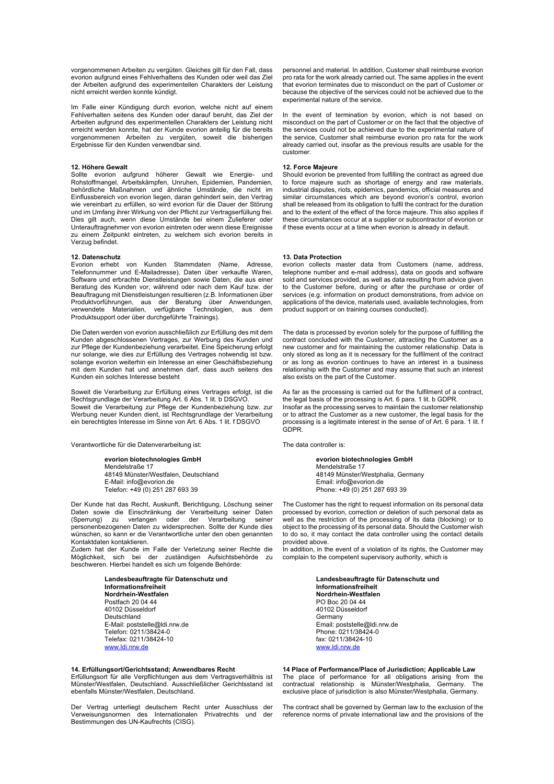vorgenommenen Arbeiten zu vergüten. Gleiches gilt für den Fall, dass evorion aufgrund eines Fehlverhaltens des Kunden oder weil das Ziel der Arbeiten aufgrund des experimentellen Charakters der Leistung nicht erreicht werden konnte kündigt.

Im Falle einer Kündigung durch evorion, welche nicht auf einem Fehlverhalten seitens des Kunden oder darauf beruht, das Ziel der Arbeiten aufgrund des experimentellen Charakters der Leistung nicht erreicht werden konnte, hat der Kunde evorion anteilig für die bereits vorgenommenen Arbeiten zu vergüten, soweit die bisherigen Ergebnisse für den Kunden verwendbar sind.

#### **12. Höhere Gewalt**

Sollte evorion aufgrund höherer Gewalt wie Energie- und Rohstoffmangel, Arbeitskämpfen, Unruhen, Epidemien, Pandemien, behördliche Maßnahmen und ähnliche Umstände, die nicht im Einflussbereich von evorion liegen, daran gehindert sein, den Vertrag wie vereinbart zu erfüllen, so wird evorion für die Dauer der Störung und im Umfang ihrer Wirkung von der Pflicht zur Vertragserfüllung frei. Dies gilt auch, wenn diese Umstände bei einem Zulieferer oder Unterauftragnehmer von evorion eintreten oder wenn diese Ereignisse zu einem Zeitpunkt eintreten, zu welchem sich evorion bereits in Verzug befindet.

#### **12. Datenschutz**

Evorion erhebt von Kunden Stammdaten (Name, Adresse, Telefonnummer und E-Mailadresse), Daten über verkaufte Waren, Software und erbrachte Dienstleistungen sowie Daten, die aus einer Beratung des Kunden vor, während oder nach dem Kauf bzw. der Beauftragung mit Dienstleistungen resultieren (z.B. Informationen über Produktvorführungen, aus der Beratung über Anwendungen, verwendete Materialien, verfügbare Technologien, aus dem Produktsupport oder über durchgeführte Trainings).

Die Daten werden von evorion ausschließlich zur Erfüllung des mit dem Kunden abgeschlossenen Vertrages, zur Werbung des Kunden und zur Pflege der Kundenbeziehung verarbeitet. Eine Speicherung erfolgt nur solange, wie dies zur Erfüllung des Vertrages notwendig ist bzw. solange evorion weiterhin ein Interesse an einer Geschäftsbeziehung mit dem Kunden hat und annehmen darf, dass auch seitens des Kunden ein solches Interesse besteht

Soweit die Verarbeitung zur Erfüllung eines Vertrages erfolgt, ist die Rechtsgrundlage der Verarbeitung Art. 6 Abs. 1 lit. b DSGVO. Soweit die Verarbeitung zur Pflege der Kundenbeziehung bzw. zur Werbung neuer Kunden dient, ist Rechtsgrundlage der Verarbeitung ein berechtigtes Interesse im Sinne von Art. 6 Abs. 1 lit. f DSGVO

Verantwortliche für die Datenverarbeitung ist:

**evorion biotechnologies GmbH** Mendelstraße 17 48149 Münster/Westfalen, Deutschland E-Mail: info@evorion.de Telefon: +49 (0) 251 287 693 39

Der Kunde hat das Recht, Auskunft, Berichtigung, Löschung seiner Daten sowie die Einschränkung der Verarbeitung seiner Daten (Sperrung) zu verlangen oder der Verarbeitung seiner personenbezogenen Daten zu widersprechen. Sollte der Kunde dies wünschen, so kann er die Verantwortliche unter den oben genannten Kontaktdaten kontaktieren.

Zudem hat der Kunde im Falle der Verletzung seiner Rechte die Möglichkeit, sich bei der zuständigen Aufsichtsbehörde zu beschweren. Hierbei handelt es sich um folgende Behörde:

> **Landesbeauftragte für Datenschutz und Informationsfreiheit Nordrhein-Westfalen** Postfach 20 04 44 40102 Düsseldorf Deutschland E-Mail: poststelle@ldi.nrw.de Telefon: 0211/38424-0 Telefax: 0211/38424-10 www.ldi.nrw.de

# **14. Erfüllungsort/Gerichtsstand; Anwendbares Recht**

Erfüllungsort für alle Verpflichtungen aus dem Vertragsverhältnis ist Münster/Westfalen, Deutschland. Ausschließlicher Gerichtsstand ist ebenfalls Münster/Westfalen, Deutschland.

Der Vertrag unterliegt deutschem Recht unter Ausschluss der Verweisungsnormen des Internationalen Privatrechts und der Bestimmungen des UN-Kaufrechts (CISG).

personnel and material. In addition, Customer shall reimburse evorion pro rata for the work already carried out. The same applies in the event that evorion terminates due to misconduct on the part of Customer or because the objective of the services could not be achieved due to the experimental nature of the service.

In the event of termination by evorion, which is not based on misconduct on the part of Customer or on the fact that the objective of the services could not be achieved due to the experimental nature of the service, Customer shall reimburse evorion pro rata for the work already carried out, insofar as the previous results are usable for the customer.

# **12. Force Majeure**

Should evorion be prevented from fulfilling the contract as agreed due to force majeure such as shortage of energy and raw materials, industrial disputes, riots, epidemics, pandemics, official measures and similar circumstances which are beyond evorion's control, evorion shall be released from its obligation to fulfil the contract for the duration and to the extent of the effect of the force majeure. This also applies if these circumstances occur at a supplier or subcontractor of evorion or if these events occur at a time when evorion is already in default.

#### **13. Data Protection**

evorion collects master data from Customers (name, address, telephone number and e-mail address), data on goods and software sold and services provided, as well as data resulting from advice given to the Customer before, during or after the purchase or order of services (e.g. information on product demonstrations, from advice on applications of the device, materials used, available technologies, from product support or on training courses conducted).

The data is processed by evorion solely for the purpose of fulfilling the contract concluded with the Customer, attracting the Customer as a new customer and for maintaining the customer relationship. Data is only stored as long as it is necessary for the fulfilment of the contract or as long as evorion continues to have an interest in a business relationship with the Customer and may assume that such an interest also exists on the part of the Customer.

As far as the processing is carried out for the fulfilment of a contract, the legal basis of the processing is Art. 6 para. 1 lit. b GDPR. Insofar as the processing serves to maintain the customer relationship or to attract the Customer as a new customer, the legal basis for the processing is a legitimate interest in the sense of of Art. 6 para. 1 lit. f GDPR.

The data controller is:

**evorion biotechnologies GmbH** Mendelstraße 17 48149 Münster/Westphalia, Germany Email: info@evorion.de Phone: +49 (0) 251 287 693 39

The Customer has the right to request information on its personal data processed by evorion, correction or deletion of such personal data as well as the restriction of the processing of its data (blocking) or to object to the processing of its personal data. Should the Customer wish to do so, it may contact the data controller using the contact details provided above.

In addition, in the event of a violation of its rights, the Customer may complain to the competent supervisory authority, which is

> **Landesbeauftragte für Datenschutz und Informationsfreiheit Nordrhein-Westfalen** PO Boc 20 04 44 40102 Düsseldorf **Germany** Email: poststelle@ldi.nrw.de Phone: 0211/38424-0 fax: 0211/38424-10 www.ldi.nrw.de

**14 Place of Performance/Place of Jurisdiction; Applicable Law**  The place of performance for all obligations arising from the contractual relationship is Münster/Westphalia, Germany. The exclusive place of jurisdiction is also Münster/Westphalia, Germany.

The contract shall be governed by German law to the exclusion of the reference norms of private international law and the provisions of the